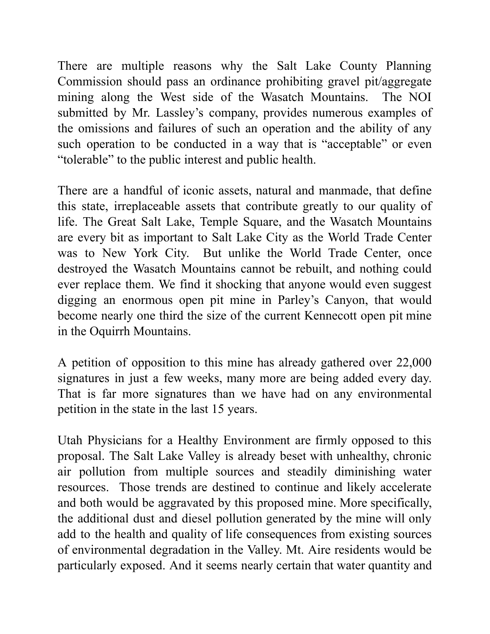There are multiple reasons why the Salt Lake County Planning Commission should pass an ordinance prohibiting gravel pit/aggregate mining along the West side of the Wasatch Mountains. The NOI submitted by Mr. Lassley's company, provides numerous examples of the omissions and failures of such an operation and the ability of any such operation to be conducted in a way that is "acceptable" or even "tolerable" to the public interest and public health.

There are a handful of iconic assets, natural and manmade, that define this state, irreplaceable assets that contribute greatly to our quality of life. The Great Salt Lake, Temple Square, and the Wasatch Mountains are every bit as important to Salt Lake City as the World Trade Center was to New York City. But unlike the World Trade Center, once destroyed the Wasatch Mountains cannot be rebuilt, and nothing could ever replace them. We find it shocking that anyone would even suggest digging an enormous open pit mine in Parley's Canyon, that would become nearly one third the size of the current Kennecott open pit mine in the Oquirrh Mountains.

A petition of opposition to this mine has already gathered over 22,000 signatures in just a few weeks, many more are being added every day. That is far more signatures than we have had on any environmental petition in the state in the last 15 years.

Utah Physicians for a Healthy Environment are firmly opposed to this proposal. The Salt Lake Valley is already beset with unhealthy, chronic air pollution from multiple sources and steadily diminishing water resources. Those trends are destined to continue and likely accelerate and both would be aggravated by this proposed mine. More specifically, the additional dust and diesel pollution generated by the mine will only add to the health and quality of life consequences from existing sources of environmental degradation in the Valley. Mt. Aire residents would be particularly exposed. And it seems nearly certain that water quantity and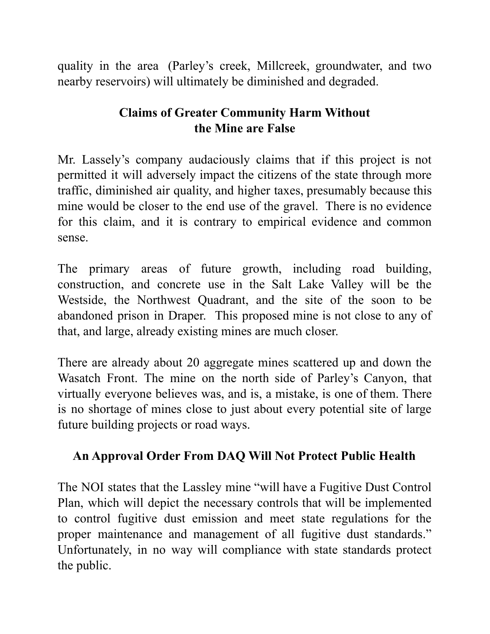quality in the area (Parley's creek, Millcreek, groundwater, and two nearby reservoirs) will ultimately be diminished and degraded.

# **Claims of Greater Community Harm Without the Mine are False**

Mr. Lassely's company audaciously claims that if this project is not permitted it will adversely impact the citizens of the state through more traffic, diminished air quality, and higher taxes, presumably because this mine would be closer to the end use of the gravel. There is no evidence for this claim, and it is contrary to empirical evidence and common sense.

The primary areas of future growth, including road building, construction, and concrete use in the Salt Lake Valley will be the Westside, the Northwest Quadrant, and the site of the soon to be abandoned prison in Draper. This proposed mine is not close to any of that, and large, already existing mines are much closer.

There are already about 20 aggregate mines scattered up and down the Wasatch Front. The mine on the north side of Parley's Canyon, that virtually everyone believes was, and is, a mistake, is one of them. There is no shortage of mines close to just about every potential site of large future building projects or road ways.

# **An Approval Order From DAQ Will Not Protect Public Health**

The NOI states that the Lassley mine "will have a Fugitive Dust Control Plan, which will depict the necessary controls that will be implemented to control fugitive dust emission and meet state regulations for the proper maintenance and management of all fugitive dust standards." Unfortunately, in no way will compliance with state standards protect the public.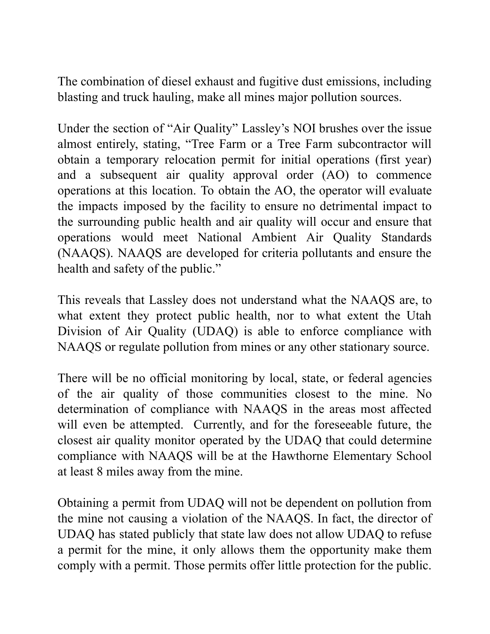The combination of diesel exhaust and fugitive dust emissions, including blasting and truck hauling, make all mines major pollution sources.

Under the section of "Air Quality" Lassley's NOI brushes over the issue almost entirely, stating, "Tree Farm or a Tree Farm subcontractor will obtain a temporary relocation permit for initial operations (first year) and a subsequent air quality approval order (AO) to commence operations at this location. To obtain the AO, the operator will evaluate the impacts imposed by the facility to ensure no detrimental impact to the surrounding public health and air quality will occur and ensure that operations would meet National Ambient Air Quality Standards (NAAQS). NAAQS are developed for criteria pollutants and ensure the health and safety of the public."

This reveals that Lassley does not understand what the NAAQS are, to what extent they protect public health, nor to what extent the Utah Division of Air Quality (UDAQ) is able to enforce compliance with NAAQS or regulate pollution from mines or any other stationary source.

There will be no official monitoring by local, state, or federal agencies of the air quality of those communities closest to the mine. No determination of compliance with NAAQS in the areas most affected will even be attempted. Currently, and for the foreseeable future, the closest air quality monitor operated by the UDAQ that could determine compliance with NAAQS will be at the Hawthorne Elementary School at least 8 miles away from the mine.

Obtaining a permit from UDAQ will not be dependent on pollution from the mine not causing a violation of the NAAQS. In fact, the director of UDAQ has stated publicly that state law does not allow UDAQ to refuse a permit for the mine, it only allows them the opportunity make them comply with a permit. Those permits offer little protection for the public.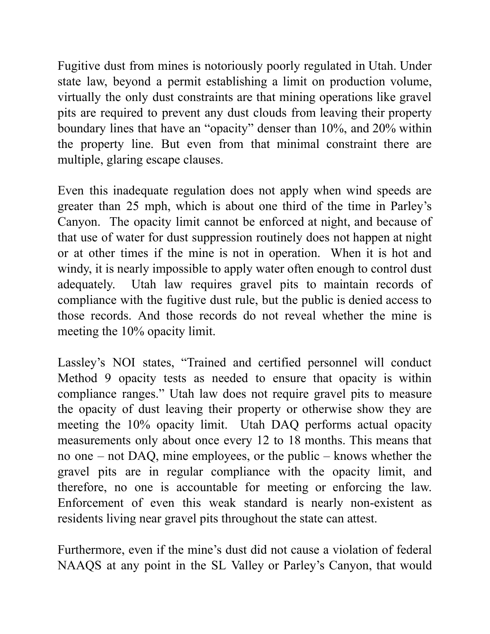Fugitive dust from mines is notoriously poorly regulated in Utah. Under state law, beyond a permit establishing a limit on production volume, virtually the only dust constraints are that mining operations like gravel pits are required to prevent any dust clouds from leaving their property boundary lines that have an "opacity" denser than 10%, and 20% within the property line. But even from that minimal constraint there are multiple, glaring escape clauses.

Even this inadequate regulation does not apply when wind speeds are greater than 25 mph, which is about one third of the time in Parley's Canyon. The opacity limit cannot be enforced at night, and because of that use of water for dust suppression routinely does not happen at night or at other times if the mine is not in operation. When it is hot and windy, it is nearly impossible to apply water often enough to control dust adequately. Utah law requires gravel pits to maintain records of compliance with the fugitive dust rule, but the public is denied access to those records. And those records do not reveal whether the mine is meeting the 10% opacity limit.

Lassley's NOI states, "Trained and certified personnel will conduct Method 9 opacity tests as needed to ensure that opacity is within compliance ranges." Utah law does not require gravel pits to measure the opacity of dust leaving their property or otherwise show they are meeting the 10% opacity limit. Utah DAQ performs actual opacity measurements only about once every 12 to 18 months. This means that no one – not DAQ, mine employees, or the public – knows whether the gravel pits are in regular compliance with the opacity limit, and therefore, no one is accountable for meeting or enforcing the law. Enforcement of even this weak standard is nearly non-existent as residents living near gravel pits throughout the state can attest.

Furthermore, even if the mine's dust did not cause a violation of federal NAAQS at any point in the SL Valley or Parley's Canyon, that would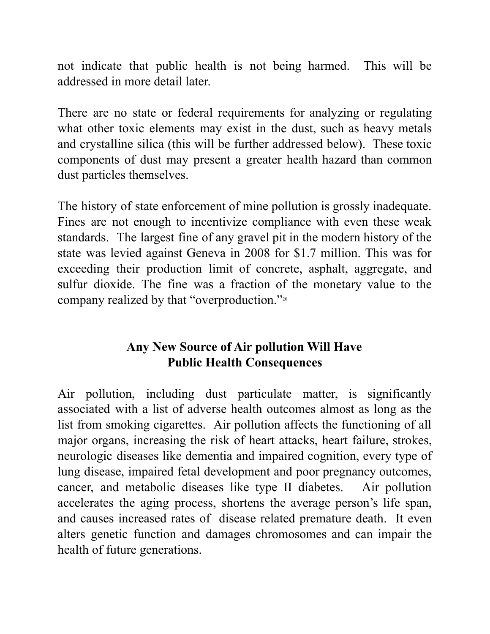not indicate that public health is not being harmed. This will be addressed in more detail later.

There are no state or federal requirements for analyzing or regulating what other toxic elements may exist in the dust, such as heavy metals and crystalline silica (this will be further addressed below). These toxic components of dust may present a greater health hazard than common dust particles themselves.

The history of state enforcement of mine pollution is grossly inadequate. Fines are not enough to incentivize compliance with even these weak standards. The largest fine of any gravel pit in the modern history of the state was levied against Geneva in 2008 for \$1.7 million. This was for exceeding their production limit of concrete, asphalt, aggregate, and sulfur dioxide. The fine was a fraction of the monetary value to the company realized by that "overproduction." 20

# **Any New Source of Air pollution Will Have Public Health Consequences**

Air pollution, including dust particulate matter, is significantly associated with a list of adverse health outcomes almost as long as the list from smoking cigarettes. Air pollution affects the functioning of all major organs, increasing the risk of heart attacks, heart failure, strokes, neurologic diseases like dementia and impaired cognition, every type of lung disease, impaired fetal development and poor pregnancy outcomes, cancer, and metabolic diseases like type II diabetes. Air pollution accelerates the aging process, shortens the average person's life span, and causes increased rates of disease related premature death. It even alters genetic function and damages chromosomes and can impair the health of future generations.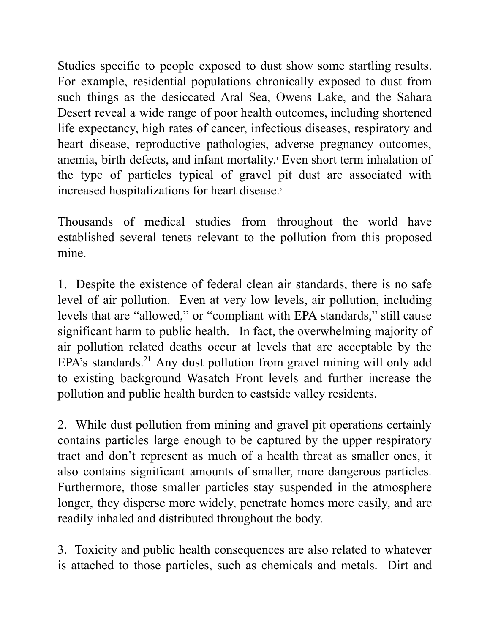Studies specific to people exposed to dust show some startling results. For example, residential populations chronically exposed to dust from such things as the desiccated Aral Sea, Owens Lake, and the Sahara Desert reveal a wide range of poor health outcomes, including shortened life expectancy, high rates of cancer, infectious diseases, respiratory and heart disease, reproductive pathologies, adverse pregnancy outcomes, anemia, birth defects, and infant mortality. <sup>1</sup> Even short term inhalation of the type of particles typical of gravel pit dust are associated with increased hospitalizations for heart disease. 2

Thousands of medical studies from throughout the world have established several tenets relevant to the pollution from this proposed mine.

1. Despite the existence of federal clean air standards, there is no safe level of air pollution. Even at very low levels, air pollution, including levels that are "allowed," or "compliant with EPA standards," still cause significant harm to public health. In fact, the overwhelming majority of air pollution related deaths occur at levels that are acceptable by the EPA's standards.<sup>21</sup> Any dust pollution from gravel mining will only add to existing background Wasatch Front levels and further increase the pollution and public health burden to eastside valley residents.

2. While dust pollution from mining and gravel pit operations certainly contains particles large enough to be captured by the upper respiratory tract and don't represent as much of a health threat as smaller ones, it also contains significant amounts of smaller, more dangerous particles. Furthermore, those smaller particles stay suspended in the atmosphere longer, they disperse more widely, penetrate homes more easily, and are readily inhaled and distributed throughout the body.

3. Toxicity and public health consequences are also related to whatever is attached to those particles, such as chemicals and metals. Dirt and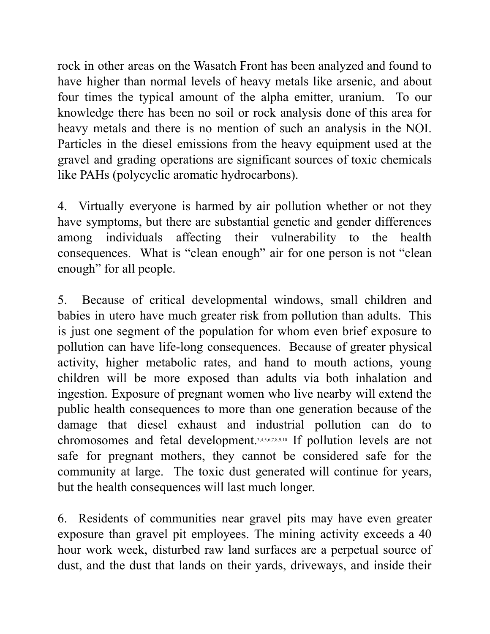rock in other areas on the Wasatch Front has been analyzed and found to have higher than normal levels of heavy metals like arsenic, and about four times the typical amount of the alpha emitter, uranium. To our knowledge there has been no soil or rock analysis done of this area for heavy metals and there is no mention of such an analysis in the NOI. Particles in the diesel emissions from the heavy equipment used at the gravel and grading operations are significant sources of toxic chemicals like PAHs (polycyclic aromatic hydrocarbons).

4. Virtually everyone is harmed by air pollution whether or not they have symptoms, but there are substantial genetic and gender differences among individuals affecting their vulnerability to the health consequences. What is "clean enough" air for one person is not "clean enough" for all people.

5. Because of critical developmental windows, small children and babies in utero have much greater risk from pollution than adults. This is just one segment of the population for whom even brief exposure to pollution can have life-long consequences. Because of greater physical activity, higher metabolic rates, and hand to mouth actions, young children will be more exposed than adults via both inhalation and ingestion. Exposure of pregnant women who live nearby will extend the public health consequences to more than one generation because of the damage that diesel exhaust and industrial pollution can do to chromosomes and fetal development. 3,4,5,6,7,8,9,10 If pollution levels are not safe for pregnant mothers, they cannot be considered safe for the community at large. The toxic dust generated will continue for years, but the health consequences will last much longer.

6. Residents of communities near gravel pits may have even greater exposure than gravel pit employees. The mining activity exceeds a 40 hour work week, disturbed raw land surfaces are a perpetual source of dust, and the dust that lands on their yards, driveways, and inside their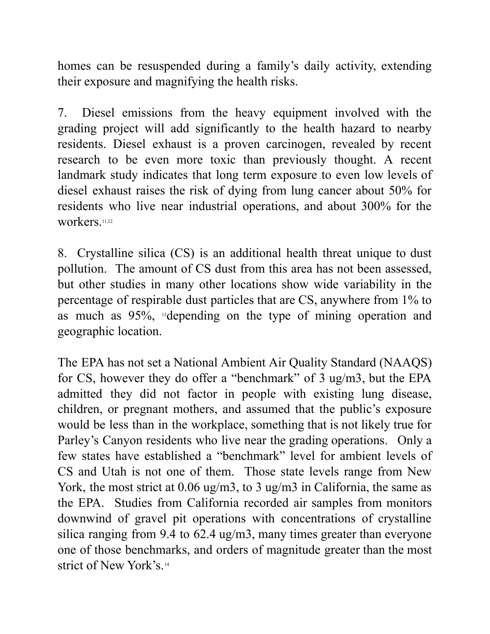homes can be resuspended during a family's daily activity, extending their exposure and magnifying the health risks.

7. Diesel emissions from the heavy equipment involved with the grading project will add significantly to the health hazard to nearby residents. Diesel exhaust is a proven carcinogen, revealed by recent research to be even more toxic than previously thought. A recent landmark study indicates that long term exposure to even low levels of diesel exhaust raises the risk of dying from lung cancer about 50% for residents who live near industrial operations, and about 300% for the workers.<sup>11,12</sup>

8. Crystalline silica (CS) is an additional health threat unique to dust pollution. The amount of CS dust from this area has not been assessed, but other studies in many other locations show wide variability in the percentage of respirable dust particles that are CS, anywhere from 1% to as much as 95%, <sup>13</sup>depending on the type of mining operation and geographic location.

The EPA has not set a National Ambient Air Quality Standard (NAAQS) for CS, however they do offer a "benchmark" of 3 ug/m3, but the EPA admitted they did not factor in people with existing lung disease, children, or pregnant mothers, and assumed that the public's exposure would be less than in the workplace, something that is not likely true for Parley's Canyon residents who live near the grading operations. Only a few states have established a "benchmark" level for ambient levels of CS and Utah is not one of them. Those state levels range from New York, the most strict at 0.06 ug/m3, to 3 ug/m3 in California, the same as the EPA. Studies from California recorded air samples from monitors downwind of gravel pit operations with concentrations of crystalline silica ranging from 9.4 to 62.4 ug/m3, many times greater than everyone one of those benchmarks, and orders of magnitude greater than the most strict of New York's. 14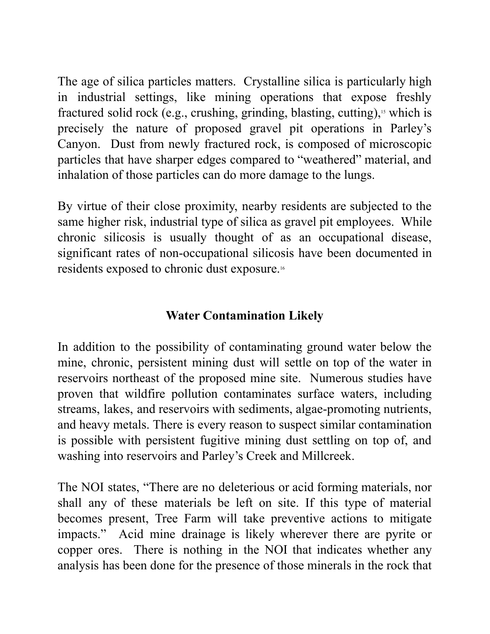The age of silica particles matters. Crystalline silica is particularly high in industrial settings, like mining operations that expose freshly fractured solid rock (e.g., crushing, grinding, blasting, cutting), <sup>15</sup> which is precisely the nature of proposed gravel pit operations in Parley's Canyon. Dust from newly fractured rock, is composed of microscopic particles that have sharper edges compared to "weathered" material, and inhalation of those particles can do more damage to the lungs.

By virtue of their close proximity, nearby residents are subjected to the same higher risk, industrial type of silica as gravel pit employees. While chronic silicosis is usually thought of as an occupational disease, significant rates of non-occupational silicosis have been documented in residents exposed to chronic dust exposure. 16

## **Water Contamination Likely**

In addition to the possibility of contaminating ground water below the mine, chronic, persistent mining dust will settle on top of the water in reservoirs northeast of the proposed mine site. Numerous studies have proven that wildfire pollution contaminates surface waters, including streams, lakes, and reservoirs with sediments, algae-promoting nutrients, and heavy metals. There is every reason to suspect similar contamination is possible with persistent fugitive mining dust settling on top of, and washing into reservoirs and Parley's Creek and Millcreek.

The NOI states, "There are no deleterious or acid forming materials, nor shall any of these materials be left on site. If this type of material becomes present, Tree Farm will take preventive actions to mitigate impacts." Acid mine drainage is likely wherever there are pyrite or copper ores. There is nothing in the NOI that indicates whether any analysis has been done for the presence of those minerals in the rock that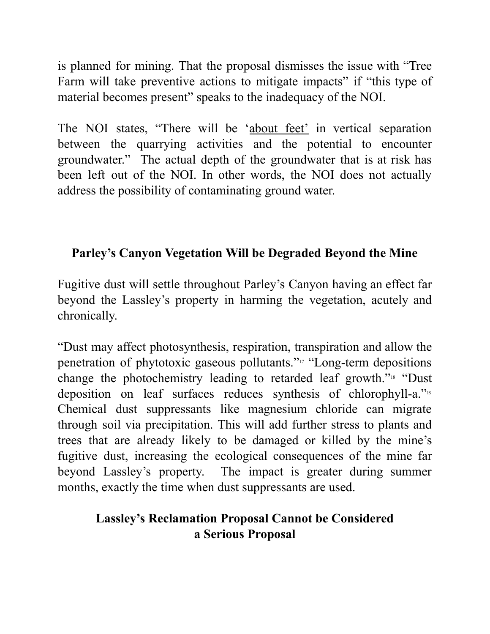is planned for mining. That the proposal dismisses the issue with "Tree Farm will take preventive actions to mitigate impacts" if "this type of material becomes present" speaks to the inadequacy of the NOI.

The NOI states, "There will be 'about feet' in vertical separation between the quarrying activities and the potential to encounter groundwater." The actual depth of the groundwater that is at risk has been left out of the NOI. In other words, the NOI does not actually address the possibility of contaminating ground water.

# **Parley's Canyon Vegetation Will be Degraded Beyond the Mine**

Fugitive dust will settle throughout Parley's Canyon having an effect far beyond the Lassley's property in harming the vegetation, acutely and chronically.

"Dust may affect photosynthesis, respiration, transpiration and allow the penetration of phytotoxic gaseous pollutants." <sup>17</sup> "Long-term depositions change the photochemistry leading to retarded leaf growth."<sup>18</sup> "Dust deposition on leaf surfaces reduces synthesis of chlorophyll-a." 19 Chemical dust suppressants like magnesium chloride can migrate through soil via precipitation. This will add further stress to plants and trees that are already likely to be damaged or killed by the mine's fugitive dust, increasing the ecological consequences of the mine far beyond Lassley's property. The impact is greater during summer months, exactly the time when dust suppressants are used.

#### **Lassley's Reclamation Proposal Cannot be Considered a Serious Proposal**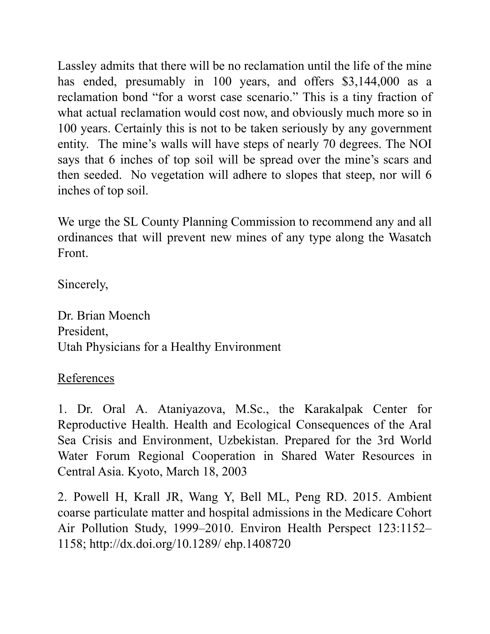Lassley admits that there will be no reclamation until the life of the mine has ended, presumably in 100 years, and offers \$3,144,000 as a reclamation bond "for a worst case scenario." This is a tiny fraction of what actual reclamation would cost now, and obviously much more so in 100 years. Certainly this is not to be taken seriously by any government entity. The mine's walls will have steps of nearly 70 degrees. The NOI says that 6 inches of top soil will be spread over the mine's scars and then seeded. No vegetation will adhere to slopes that steep, nor will 6 inches of top soil.

We urge the SL County Planning Commission to recommend any and all ordinances that will prevent new mines of any type along the Wasatch Front.

Sincerely,

Dr. Brian Moench President, Utah Physicians for a Healthy Environment

References

1. Dr. Oral A. Ataniyazova, M.Sc., the Karakalpak Center for Reproductive Health. Health and Ecological Consequences of the Aral Sea Crisis and Environment, Uzbekistan. Prepared for the 3rd World Water Forum Regional Cooperation in Shared Water Resources in Central Asia. Kyoto, March 18, 2003

2. Powell H, Krall JR, Wang Y, Bell ML, Peng RD. 2015. Ambient coarse particulate matter and hospital admissions in the Medicare Cohort Air Pollution Study, 1999–2010. Environ Health Perspect 123:1152– 1158; http://dx.doi.org/10.1289/ ehp.1408720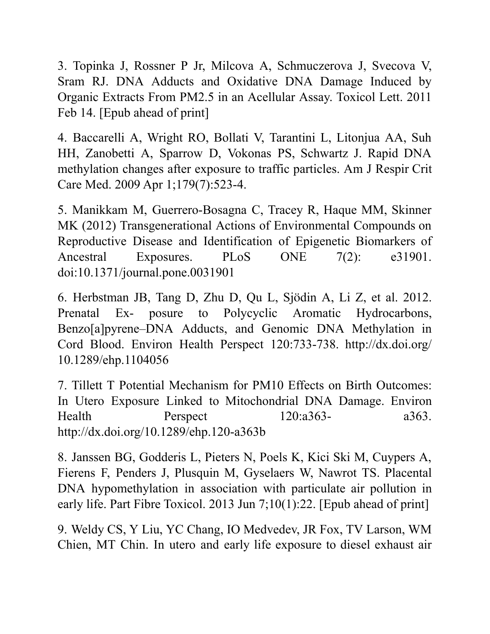3. Topinka J, Rossner P Jr, Milcova A, Schmuczerova J, Svecova V, Sram RJ. DNA Adducts and Oxidative DNA Damage Induced by Organic Extracts From PM2.5 in an Acellular Assay. Toxicol Lett. 2011 Feb 14. [Epub ahead of print]

4. Baccarelli A, Wright RO, Bollati V, Tarantini L, Litonjua AA, Suh HH, Zanobetti A, Sparrow D, Vokonas PS, Schwartz J. Rapid DNA methylation changes after exposure to traffic particles. Am J Respir Crit Care Med. 2009 Apr 1;179(7):523-4.

5. Manikkam M, Guerrero-Bosagna C, Tracey R, Haque MM, Skinner MK (2012) Transgenerational Actions of Environmental Compounds on Reproductive Disease and Identification of Epigenetic Biomarkers of Ancestral Exposures. PLoS ONE 7(2): e31901. doi:10.1371/journal.pone.0031901

6. Herbstman JB, Tang D, Zhu D, Qu L, Sjödin A, Li Z, et al. 2012. Prenatal Ex- posure to Polycyclic Aromatic Hydrocarbons, Benzo[a]pyrene–DNA Adducts, and Genomic DNA Methylation in Cord Blood. Environ Health Perspect 120:733-738. http://dx.doi.org/ 10.1289/ehp.1104056

7. Tillett T Potential Mechanism for PM10 Effects on Birth Outcomes: In Utero Exposure Linked to Mitochondrial DNA Damage. Environ Health Perspect 120:a363- a363. http://dx.doi.org/10.1289/ehp.120-a363b

8. Janssen BG, Godderis L, Pieters N, Poels K, Kici Ski M, Cuypers A, Fierens F, Penders J, Plusquin M, Gyselaers W, Nawrot TS. Placental DNA hypomethylation in association with particulate air pollution in early life. Part Fibre Toxicol. 2013 Jun 7;10(1):22. [Epub ahead of print]

9. Weldy CS, Y Liu, YC Chang, IO Medvedev, JR Fox, TV Larson, WM Chien, MT Chin. In utero and early life exposure to diesel exhaust air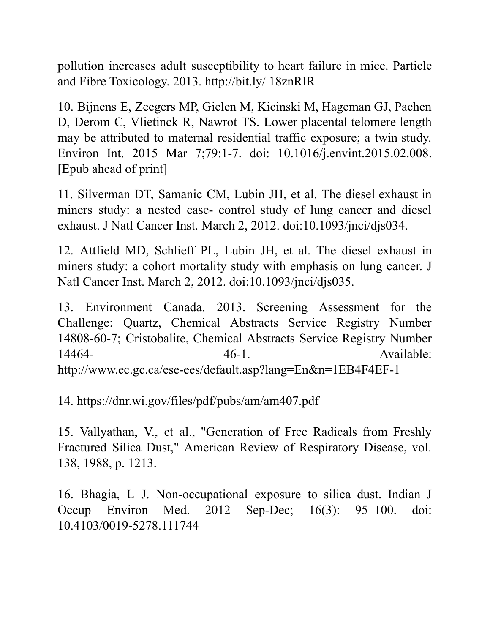pollution increases adult susceptibility to heart failure in mice. Particle and Fibre Toxicology. 2013. http://bit.ly/ 18znRIR

10. Bijnens E, Zeegers MP, Gielen M, Kicinski M, Hageman GJ, Pachen D, Derom C, Vlietinck R, Nawrot TS. Lower placental telomere length may be attributed to maternal residential traffic exposure; a twin study. Environ Int. 2015 Mar 7;79:1-7. doi: 10.1016/j.envint.2015.02.008. [Epub ahead of print]

11. Silverman DT, Samanic CM, Lubin JH, et al. The diesel exhaust in miners study: a nested case- control study of lung cancer and diesel exhaust. J Natl Cancer Inst. March 2, 2012. doi:10.1093/jnci/djs034.

12. Attfield MD, Schlieff PL, Lubin JH, et al. The diesel exhaust in miners study: a cohort mortality study with emphasis on lung cancer. J Natl Cancer Inst. March 2, 2012. doi:10.1093/jnci/djs035.

13. Environment Canada. 2013. Screening Assessment for the Challenge: Quartz, Chemical Abstracts Service Registry Number 14808-60-7; Cristobalite, Chemical Abstracts Service Registry Number 14464- **46-1.** Available: http://www.ec.gc.ca/ese-ees/default.asp?lang=En&n=1EB4F4EF-1

14. https://dnr.wi.gov/files/pdf/pubs/am/am407.pdf

15. Vallyathan, V., et al., "Generation of Free Radicals from Freshly Fractured Silica Dust," American Review of Respiratory Disease, vol. 138, 1988, p. 1213.

16. Bhagia, L J. Non-occupational exposure to silica dust. Indian J Occup Environ Med. 2012 Sep-Dec; 16(3): 95–100. doi: 10.4103/0019-5278.111744